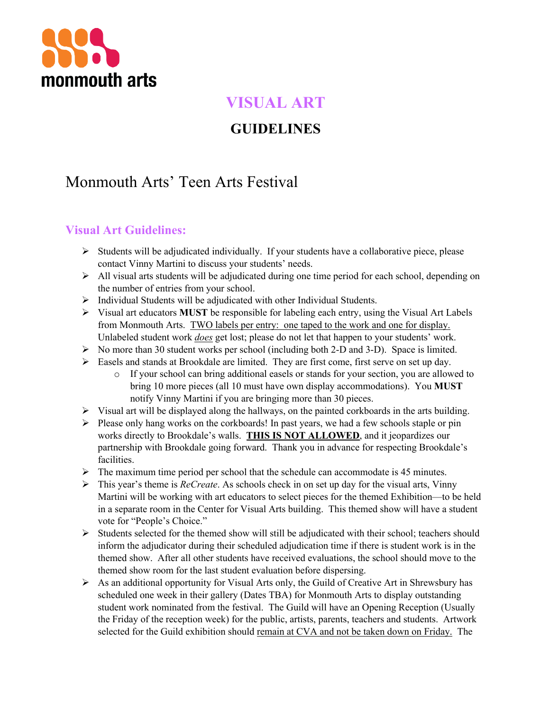

### **VISUAL ART**

### **GUIDELINES**

# Monmouth Arts' Teen Arts Festival

### **Visual Art Guidelines:**

- Ø Students will be adjudicated individually. If your students have a collaborative piece, please contact Vinny Martini to discuss your students' needs.
- Ø All visual arts students will be adjudicated during one time period for each school, depending on the number of entries from your school.
- $\triangleright$  Individual Students will be adjudicated with other Individual Students.
- $\triangleright$  Visual art educators **MUST** be responsible for labeling each entry, using the Visual Art Labels from Monmouth Arts. TWO labels per entry: one taped to the work and one for display. Unlabeled student work *does* get lost; please do not let that happen to your students' work.
- $\triangleright$  No more than 30 student works per school (including both 2-D and 3-D). Space is limited.
- Ø Easels and stands at Brookdale are limited. They are first come, first serve on set up day.
	- o If your school can bring additional easels or stands for your section, you are allowed to bring 10 more pieces (all 10 must have own display accommodations). You **MUST** notify Vinny Martini if you are bringing more than 30 pieces.
- $\triangleright$  Visual art will be displayed along the hallways, on the painted corkboards in the arts building.
- $\triangleright$  Please only hang works on the corkboards! In past years, we had a few schools staple or pin works directly to Brookdale's walls. **THIS IS NOT ALLOWED**, and it jeopardizes our partnership with Brookdale going forward. Thank you in advance for respecting Brookdale's facilities.
- $\triangleright$  The maximum time period per school that the schedule can accommodate is 45 minutes.
- Ø This year's theme is *ReCreate*. As schools check in on set up day for the visual arts, Vinny Martini will be working with art educators to select pieces for the themed Exhibition—to be held in a separate room in the Center for Visual Arts building. This themed show will have a student vote for "People's Choice."
- $\triangleright$  Students selected for the themed show will still be adjudicated with their school; teachers should inform the adjudicator during their scheduled adjudication time if there is student work is in the themed show. After all other students have received evaluations, the school should move to the themed show room for the last student evaluation before dispersing.
- $\triangleright$  As an additional opportunity for Visual Arts only, the Guild of Creative Art in Shrewsbury has scheduled one week in their gallery (Dates TBA) for Monmouth Arts to display outstanding student work nominated from the festival. The Guild will have an Opening Reception (Usually the Friday of the reception week) for the public, artists, parents, teachers and students. Artwork selected for the Guild exhibition should remain at CVA and not be taken down on Friday. The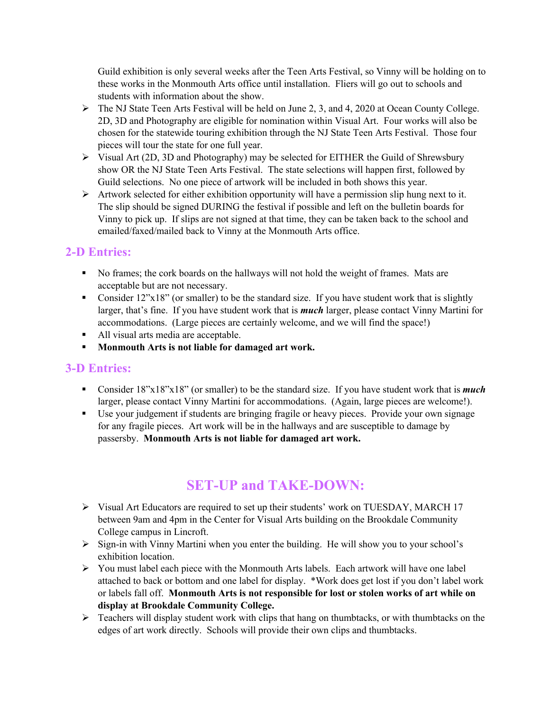Guild exhibition is only several weeks after the Teen Arts Festival, so Vinny will be holding on to these works in the Monmouth Arts office until installation. Fliers will go out to schools and students with information about the show.

- $\triangleright$  The NJ State Teen Arts Festival will be held on June 2, 3, and 4, 2020 at Ocean County College. 2D, 3D and Photography are eligible for nomination within Visual Art. Four works will also be chosen for the statewide touring exhibition through the NJ State Teen Arts Festival. Those four pieces will tour the state for one full year.
- Ø Visual Art (2D, 3D and Photography) may be selected for EITHER the Guild of Shrewsbury show OR the NJ State Teen Arts Festival. The state selections will happen first, followed by Guild selections. No one piece of artwork will be included in both shows this year.
- $\triangleright$  Artwork selected for either exhibition opportunity will have a permission slip hung next to it. The slip should be signed DURING the festival if possible and left on the bulletin boards for Vinny to pick up. If slips are not signed at that time, they can be taken back to the school and emailed/faxed/mailed back to Vinny at the Monmouth Arts office.

#### **2-D Entries:**

- No frames; the cork boards on the hallways will not hold the weight of frames. Mats are acceptable but are not necessary.
- Consider 12"x18" (or smaller) to be the standard size. If you have student work that is slightly larger, that's fine. If you have student work that is *much* larger, please contact Vinny Martini for accommodations. (Large pieces are certainly welcome, and we will find the space!)
- All visual arts media are acceptable.
- § **Monmouth Arts is not liable for damaged art work.**

#### **3-D Entries:**

- Consider 18"x18"x18" (or smaller) to be the standard size. If you have student work that is *much* larger, please contact Vinny Martini for accommodations. (Again, large pieces are welcome!).
- § Use your judgement if students are bringing fragile or heavy pieces. Provide your own signage for any fragile pieces. Art work will be in the hallways and are susceptible to damage by passersby. **Monmouth Arts is not liable for damaged art work.**

## **SET-UP and TAKE-DOWN:**

- $\triangleright$  Visual Art Educators are required to set up their students' work on TUESDAY, MARCH 17 between 9am and 4pm in the Center for Visual Arts building on the Brookdale Community College campus in Lincroft.
- Ø Sign-in with Vinny Martini when you enter the building. He will show you to your school's exhibition location.
- Ø You must label each piece with the Monmouth Arts labels. Each artwork will have one label attached to back or bottom and one label for display. \*Work does get lost if you don't label work or labels fall off. **Monmouth Arts is not responsible for lost or stolen works of art while on display at Brookdale Community College.**
- $\triangleright$  Teachers will display student work with clips that hang on thumbtacks, or with thumbtacks on the edges of art work directly. Schools will provide their own clips and thumbtacks.